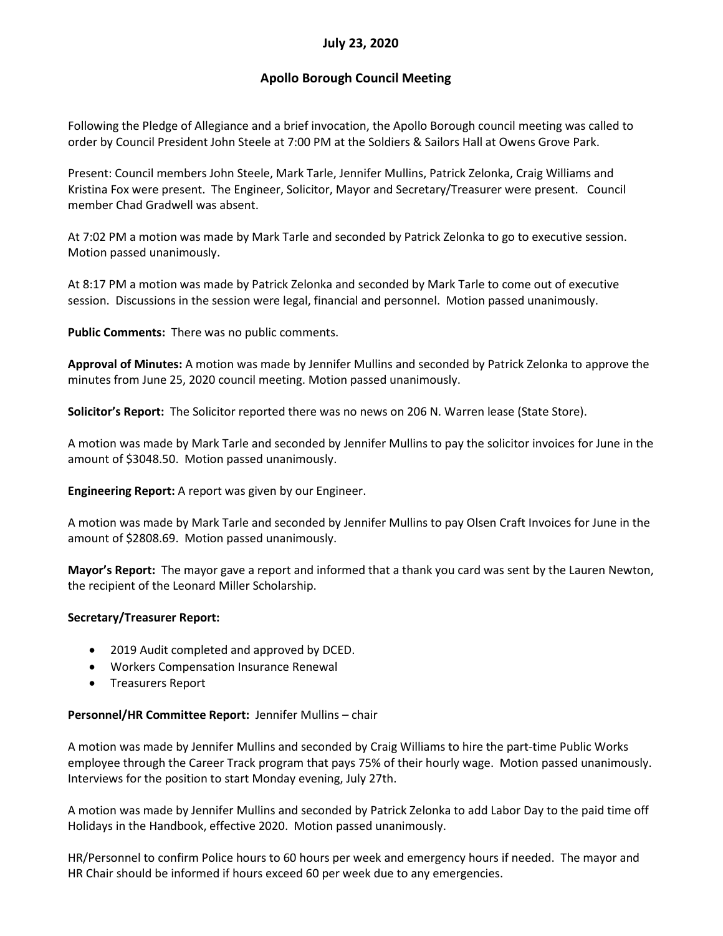# **July 23, 2020**

# **Apollo Borough Council Meeting**

Following the Pledge of Allegiance and a brief invocation, the Apollo Borough council meeting was called to order by Council President John Steele at 7:00 PM at the Soldiers & Sailors Hall at Owens Grove Park.

Present: Council members John Steele, Mark Tarle, Jennifer Mullins, Patrick Zelonka, Craig Williams and Kristina Fox were present. The Engineer, Solicitor, Mayor and Secretary/Treasurer were present. Council member Chad Gradwell was absent.

At 7:02 PM a motion was made by Mark Tarle and seconded by Patrick Zelonka to go to executive session. Motion passed unanimously.

At 8:17 PM a motion was made by Patrick Zelonka and seconded by Mark Tarle to come out of executive session. Discussions in the session were legal, financial and personnel. Motion passed unanimously.

**Public Comments:** There was no public comments.

**Approval of Minutes:** A motion was made by Jennifer Mullins and seconded by Patrick Zelonka to approve the minutes from June 25, 2020 council meeting. Motion passed unanimously.

**Solicitor's Report:** The Solicitor reported there was no news on 206 N. Warren lease (State Store).

A motion was made by Mark Tarle and seconded by Jennifer Mullins to pay the solicitor invoices for June in the amount of \$3048.50. Motion passed unanimously.

**Engineering Report:** A report was given by our Engineer.

A motion was made by Mark Tarle and seconded by Jennifer Mullins to pay Olsen Craft Invoices for June in the amount of \$2808.69. Motion passed unanimously.

**Mayor's Report:** The mayor gave a report and informed that a thank you card was sent by the Lauren Newton, the recipient of the Leonard Miller Scholarship.

## **Secretary/Treasurer Report:**

- 2019 Audit completed and approved by DCED.
- Workers Compensation Insurance Renewal
- Treasurers Report

#### **Personnel/HR Committee Report:** Jennifer Mullins – chair

A motion was made by Jennifer Mullins and seconded by Craig Williams to hire the part-time Public Works employee through the Career Track program that pays 75% of their hourly wage. Motion passed unanimously. Interviews for the position to start Monday evening, July 27th.

A motion was made by Jennifer Mullins and seconded by Patrick Zelonka to add Labor Day to the paid time off Holidays in the Handbook, effective 2020. Motion passed unanimously.

HR/Personnel to confirm Police hours to 60 hours per week and emergency hours if needed. The mayor and HR Chair should be informed if hours exceed 60 per week due to any emergencies.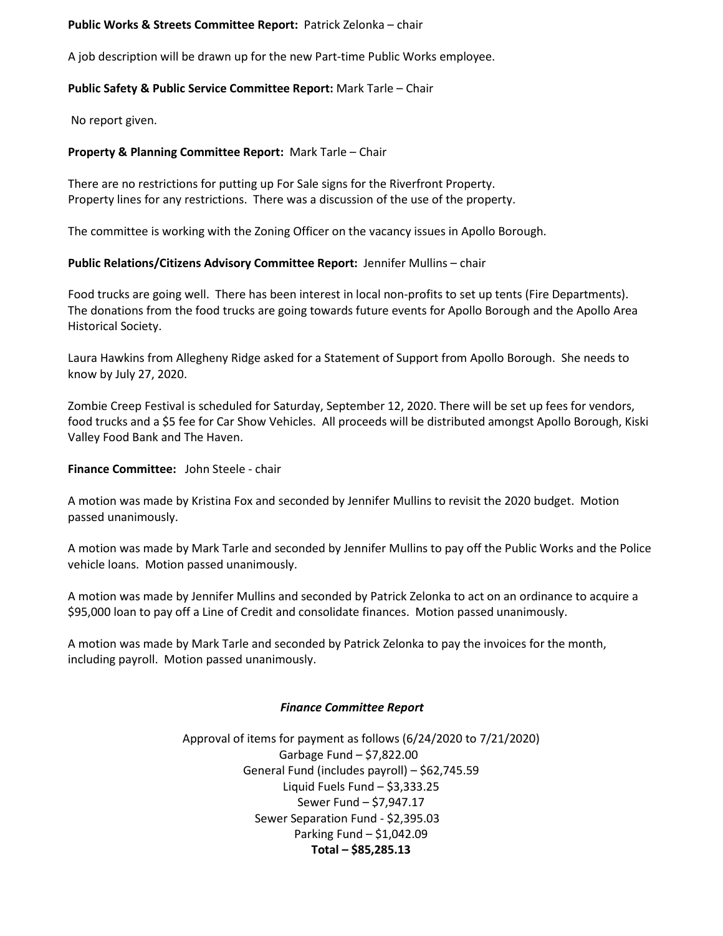## **Public Works & Streets Committee Report:** Patrick Zelonka – chair

A job description will be drawn up for the new Part-time Public Works employee.

### **Public Safety & Public Service Committee Report:** Mark Tarle – Chair

No report given.

### **Property & Planning Committee Report:** Mark Tarle – Chair

There are no restrictions for putting up For Sale signs for the Riverfront Property. Property lines for any restrictions. There was a discussion of the use of the property.

The committee is working with the Zoning Officer on the vacancy issues in Apollo Borough.

### **Public Relations/Citizens Advisory Committee Report:** Jennifer Mullins – chair

Food trucks are going well. There has been interest in local non-profits to set up tents (Fire Departments). The donations from the food trucks are going towards future events for Apollo Borough and the Apollo Area Historical Society.

Laura Hawkins from Allegheny Ridge asked for a Statement of Support from Apollo Borough. She needs to know by July 27, 2020.

Zombie Creep Festival is scheduled for Saturday, September 12, 2020. There will be set up fees for vendors, food trucks and a \$5 fee for Car Show Vehicles. All proceeds will be distributed amongst Apollo Borough, Kiski Valley Food Bank and The Haven.

**Finance Committee:** John Steele - chair

A motion was made by Kristina Fox and seconded by Jennifer Mullins to revisit the 2020 budget. Motion passed unanimously.

A motion was made by Mark Tarle and seconded by Jennifer Mullins to pay off the Public Works and the Police vehicle loans. Motion passed unanimously.

A motion was made by Jennifer Mullins and seconded by Patrick Zelonka to act on an ordinance to acquire a \$95,000 loan to pay off a Line of Credit and consolidate finances. Motion passed unanimously.

A motion was made by Mark Tarle and seconded by Patrick Zelonka to pay the invoices for the month, including payroll. Motion passed unanimously.

#### *Finance Committee Report*

Approval of items for payment as follows (6/24/2020 to 7/21/2020) Garbage Fund – \$7,822.00 General Fund (includes payroll) – \$62,745.59 Liquid Fuels Fund – \$3,333.25 Sewer Fund – \$7,947.17 Sewer Separation Fund - \$2,395.03 Parking Fund – \$1,042.09 **Total – \$85,285.13**